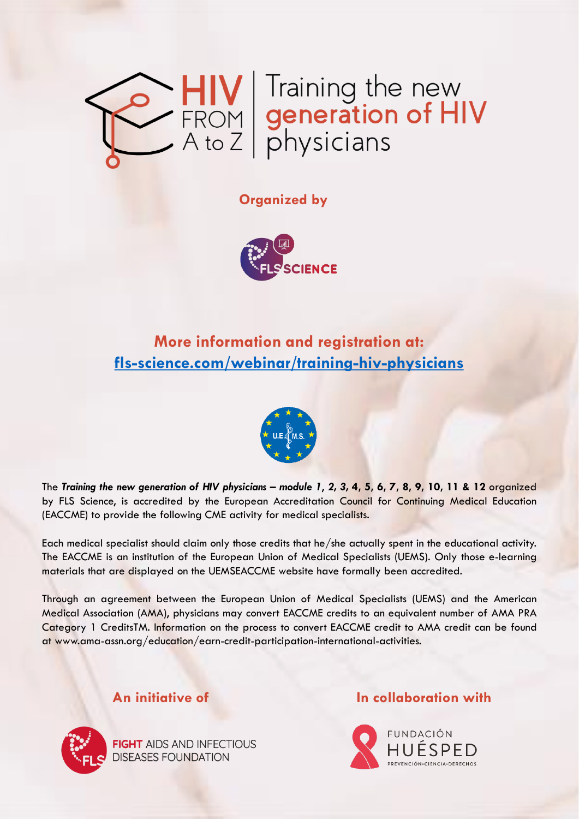

### **Organized by**



### **More information and registration at: [fls-science.com/webinar/training-hiv-physicians](https://www.fls-science.com/webinar/training-hiv-physicians/)**



The Training the new generation of HIV physicians – module 1, 2, 3, 4, 5, 6, 7, 8, 9, 10, 11 & 12 organized by FLS Science, is accredited by the European Accreditation Council for Continuing Medical Education (EACCME) to provide the following CME activity for medical specialists.

Each medical specialist should claim only those credits that he/she actually spent in the educational activity. The EACCME is an institution of the European Union of Medical Specialists (UEMS). Only those e-learning materials that are displayed on the UEMSEACCME website have formally been accredited.

Through an agreement between the European Union of Medical Specialists (UEMS) and the American Medical Association (AMA), physicians may convert EACCME credits to an equivalent number of AMA PRA Category 1 CreditsTM. Information on the process to convert EACCME credit to AMA credit can be found at www.ama-assn.org/education/earn-credit-participation-international-activities.



**FIGHT AIDS AND INFECTIOUS DISEASES FOUNDATION** 

### **An initiative of In collaboration with**

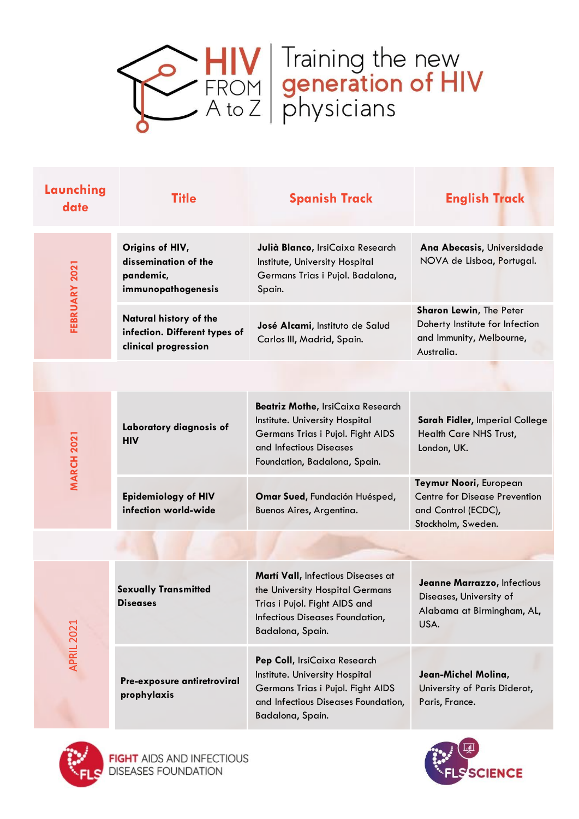

| Launching<br>date | <b>Title</b>                                                                    | <b>Spanish Track</b>                                                                                                                                                | <b>English Track</b>                                                                                        |
|-------------------|---------------------------------------------------------------------------------|---------------------------------------------------------------------------------------------------------------------------------------------------------------------|-------------------------------------------------------------------------------------------------------------|
| FEBRUARY 2021     | Origins of HIV,<br>dissemination of the<br>pandemic,<br>immunopathogenesis      | Julià Blanco, IrsiCaixa Research<br>Institute, University Hospital<br>Germans Trias i Pujol. Badalona,<br>Spain.                                                    | Ana Abecasis, Universidade<br>NOVA de Lisboa, Portugal.                                                     |
|                   | Natural history of the<br>infection. Different types of<br>clinical progression | José Alcami, Instituto de Salud<br>Carlos III, Madrid, Spain.                                                                                                       | <b>Sharon Lewin, The Peter</b><br>Doherty Institute for Infection<br>and Immunity, Melbourne,<br>Australia. |
|                   |                                                                                 |                                                                                                                                                                     |                                                                                                             |
| <b>MARCH 2021</b> | Laboratory diagnosis of<br><b>HIV</b>                                           | Beatriz Mothe, IrsiCaixa Research<br>Institute. University Hospital<br>Germans Trias i Pujol. Fight AIDS<br>and Infectious Diseases<br>Foundation, Badalona, Spain. | Sarah Fidler, Imperial College<br>Health Care NHS Trust,<br>London, UK.                                     |
|                   | <b>Epidemiology of HIV</b><br>infection world-wide                              | Omar Sued, Fundación Huésped,<br>Buenos Aires, Argentina.                                                                                                           | Teymur Noori, European<br><b>Centre for Disease Prevention</b><br>and Control (ECDC),<br>Stockholm, Sweden. |
|                   |                                                                                 |                                                                                                                                                                     |                                                                                                             |
| APRIL 2021        | <b>Sexually Transmitted</b><br><b>Diseases</b>                                  | Martí Vall, Infectious Diseases at<br>the University Hospital Germans<br>Trias i Pujol. Fight AIDS and<br>Infectious Diseases Foundation,<br>Badalona, Spain.       | Jeanne Marrazzo, Infectious<br>Diseases, University of<br>Alabama at Birmingham, AL,<br>USA.                |
|                   | Pre-exposure antiretroviral<br>prophylaxis                                      | Pep Coll, IrsiCaixa Research<br>Institute. University Hospital<br>Germans Trias i Pujol. Fight AIDS<br>and Infectious Diseases Foundation,<br>Badalona, Spain.      | Jean-Michel Molina,<br>University of Paris Diderot,<br>Paris, France.                                       |



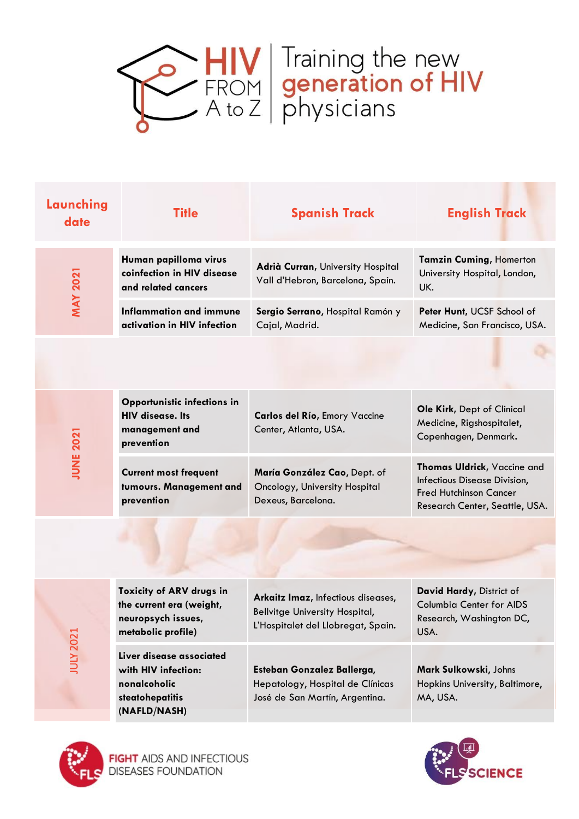

| Launching<br>date | <b>Title</b>                                                                                       | <b>Spanish Track</b>                                                                                              | <b>English Track</b>                                                                                                           |
|-------------------|----------------------------------------------------------------------------------------------------|-------------------------------------------------------------------------------------------------------------------|--------------------------------------------------------------------------------------------------------------------------------|
| <b>MAY 2021</b>   | Human papilloma virus<br>coinfection in HIV disease<br>and related cancers                         | Adrià Curran, University Hospital<br>Vall d'Hebron, Barcelona, Spain.                                             | <b>Tamzin Cuming, Homerton</b><br>University Hospital, London,<br>UK.                                                          |
|                   | <b>Inflammation and immune</b><br>activation in HIV infection                                      | Sergio Serrano, Hospital Ramón y<br>Cajal, Madrid.                                                                | Peter Hunt, UCSF School of<br>Medicine, San Francisco, USA.                                                                    |
|                   |                                                                                                    |                                                                                                                   |                                                                                                                                |
| <b>JUNE 2021</b>  | Opportunistic infections in<br><b>HIV</b> disease. Its<br>management and<br>prevention             | Carlos del Río, Emory Vaccine<br>Center, Atlanta, USA.                                                            | Ole Kirk, Dept of Clinical<br>Medicine, Rigshospitalet,<br>Copenhagen, Denmark.                                                |
|                   | <b>Current most frequent</b><br>tumours. Management and<br>prevention                              | María González Cao, Dept. of<br>Oncology, University Hospital<br>Dexeus, Barcelona.                               | Thomas Uldrick, Vaccine and<br>Infectious Disease Division,<br><b>Fred Hutchinson Cancer</b><br>Research Center, Seattle, USA. |
|                   |                                                                                                    |                                                                                                                   |                                                                                                                                |
|                   |                                                                                                    |                                                                                                                   |                                                                                                                                |
| <b>JULY 2021</b>  | Toxicity of ARV drugs in<br>the current era (weight,<br>neuropsych issues,<br>metabolic profile)   | Arkaitz Imaz, Infectious diseases,<br><b>Bellvitge University Hospital,</b><br>L'Hospitalet del Llobregat, Spain. | David Hardy, District of<br><b>Columbia Center for AIDS</b><br>Research, Washington DC,<br>USA.                                |
|                   | Liver disease associated<br>with HIV infection:<br>nonalcoholic<br>steatohepatitis<br>(NAFLD/NASH) | Esteban Gonzalez Ballerga,<br>Hepatology, Hospital de Clínicas<br>José de San Martín, Argentina.                  | Mark Sulkowski, Johns<br>Hopkins University, Baltimore,<br>MA, USA.                                                            |



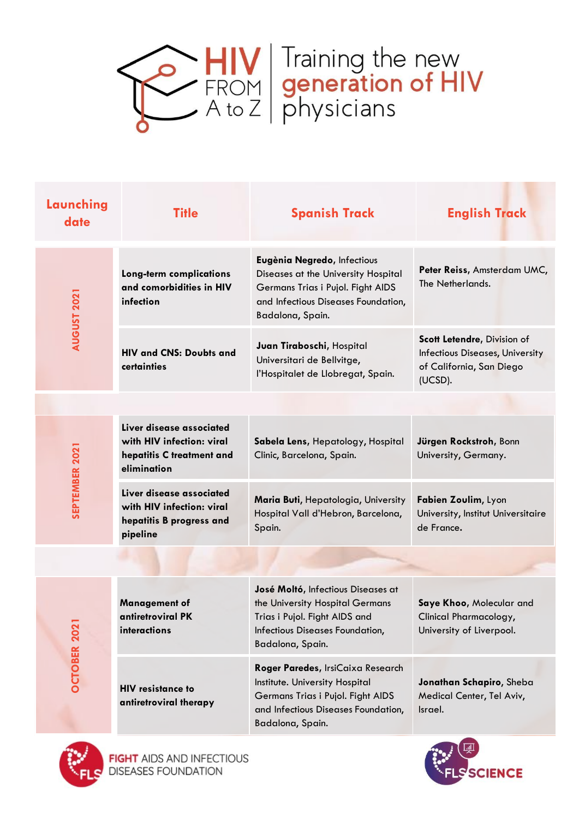

| Launching<br>date  | <b>Title</b>                                                                                      | <b>Spanish Track</b>                                                                                                                                                | <b>English Track</b>                                                                                  |
|--------------------|---------------------------------------------------------------------------------------------------|---------------------------------------------------------------------------------------------------------------------------------------------------------------------|-------------------------------------------------------------------------------------------------------|
| <b>AUGUST 2021</b> | Long-term complications<br>and comorbidities in HIV<br>infection                                  | Eugènia Negredo, Infectious<br>Diseases at the University Hospital<br>Germans Trias i Pujol. Fight AIDS<br>and Infectious Diseases Foundation,<br>Badalona, Spain.  | Peter Reiss, Amsterdam UMC,<br>The Netherlands.                                                       |
|                    | <b>HIV and CNS: Doubts and</b><br>certainties                                                     | Juan Tiraboschi, Hospital<br>Universitari de Bellvitge,<br>l'Hospitalet de Llobregat, Spain.                                                                        | Scott Letendre, Division of<br>Infectious Diseases, University<br>of California, San Diego<br>(UCSD). |
|                    |                                                                                                   |                                                                                                                                                                     |                                                                                                       |
| SEPTEMBER 2021     | Liver disease associated<br>with HIV infection: viral<br>hepatitis C treatment and<br>elimination | Sabela Lens, Hepatology, Hospital<br>Clinic, Barcelona, Spain.                                                                                                      | Jürgen Rockstroh, Bonn<br>University, Germany.                                                        |
|                    | Liver disease associated<br>with HIV infection: viral<br>hepatitis B progress and<br>pipeline     | Maria Buti, Hepatologia, University<br>Hospital Vall d'Hebron, Barcelona,<br>Spain.                                                                                 | Fabien Zoulim, Lyon<br>University, Institut Universitaire<br>de France.                               |
|                    |                                                                                                   |                                                                                                                                                                     |                                                                                                       |
| <b>OCTOBER 202</b> | <b>Management of</b><br>antiretroviral PK<br>interactions                                         | José Moltó, Infectious Diseases at<br>the University Hospital Germans<br>Trias i Pujol. Fight AIDS and<br>Infectious Diseases Foundation,<br>Badalona, Spain.       | Saye Khoo, Molecular and<br>Clinical Pharmacology,<br>University of Liverpool.                        |
|                    | <b>HIV resistance to</b><br>antiretroviral therapy                                                | Roger Paredes, IrsiCaixa Research<br>Institute. University Hospital<br>Germans Trias i Pujol. Fight AIDS<br>and Infectious Diseases Foundation,<br>Badalona, Spain. | Jonathan Schapiro, Sheba<br>Medical Center, Tel Aviv,<br>Israel.                                      |



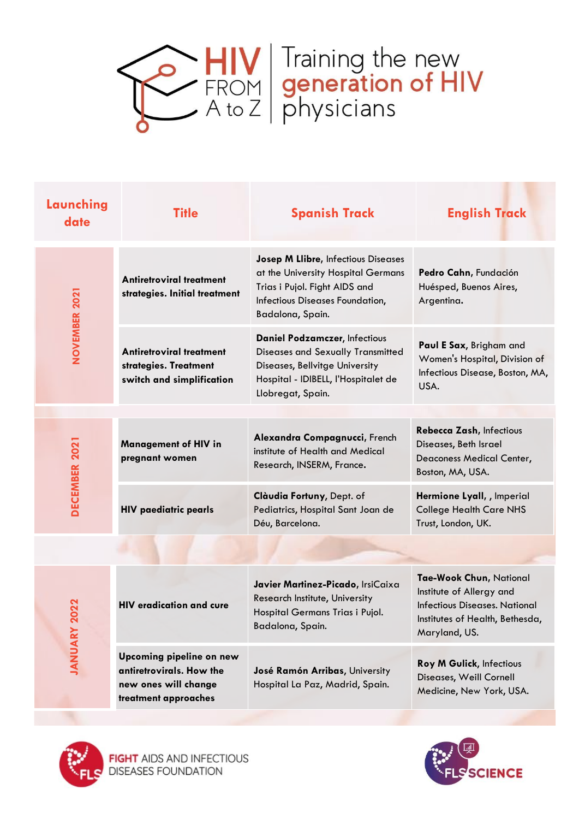

| Launching<br>date    | <b>Title</b>                                                                                         | <b>Spanish Track</b>                                                                                                                                                     | <b>English Track</b>                                                                                                                            |
|----------------------|------------------------------------------------------------------------------------------------------|--------------------------------------------------------------------------------------------------------------------------------------------------------------------------|-------------------------------------------------------------------------------------------------------------------------------------------------|
| <b>NOVEMBER 2021</b> | <b>Antiretroviral treatment</b><br>strategies. Initial treatment                                     | <b>Josep M Llibre, Infectious Diseases</b><br>at the University Hospital Germans<br>Trias i Pujol. Fight AIDS and<br>Infectious Diseases Foundation,<br>Badalona, Spain. | Pedro Cahn, Fundación<br>Huésped, Buenos Aires,<br>Argentina.                                                                                   |
|                      | Antiretroviral treatment<br>strategies. Treatment<br>switch and simplification                       | <b>Daniel Podzamczer, Infectious</b><br>Diseases and Sexually Transmitted<br>Diseases, Bellvitge University<br>Hospital - IDIBELL, l'Hospitalet de<br>Llobregat, Spain.  | Paul E Sax, Brigham and<br>Women's Hospital, Division of<br>Infectious Disease, Boston, MA,<br>USA.                                             |
|                      |                                                                                                      |                                                                                                                                                                          |                                                                                                                                                 |
| DECEMBER 2021        | <b>Management of HIV in</b><br>pregnant women                                                        | Alexandra Compagnucci, French<br>institute of Health and Medical<br>Research, INSERM, France.                                                                            | Rebecca Zash, Infectious<br>Diseases, Beth Israel<br>Deaconess Medical Center,<br>Boston, MA, USA.                                              |
|                      | <b>HIV paediatric pearls</b>                                                                         | Clàudia Fortuny, Dept. of<br>Pediatrics, Hospital Sant Joan de<br>Déu, Barcelona.                                                                                        | Hermione Lyall, , Imperial<br><b>College Health Care NHS</b><br>Trust, London, UK.                                                              |
|                      |                                                                                                      |                                                                                                                                                                          |                                                                                                                                                 |
|                      |                                                                                                      |                                                                                                                                                                          |                                                                                                                                                 |
| 2022<br>JANUARY      | <b>HIV eradication and cure</b>                                                                      | Javier Martinez-Picado, IrsiCaixa<br>Research Institute, University<br>Hospital Germans Trias i Pujol.<br>Badalona, Spain.                                               | Tae-Wook Chun, National<br>Institute of Allergy and<br><b>Infectious Diseases. National</b><br>Institutes of Health, Bethesda,<br>Maryland, US. |
|                      | Upcoming pipeline on new<br>antiretrovirals. How the<br>new ones will change<br>treatment approaches | José Ramón Arribas, University<br>Hospital La Paz, Madrid, Spain.                                                                                                        | <b>Roy M Gulick, Infectious</b><br>Diseases, Weill Cornell<br>Medicine, New York, USA.                                                          |



**FIGHT** AIDS AND INFECTIOUS<br>DISEASES FOUNDATION